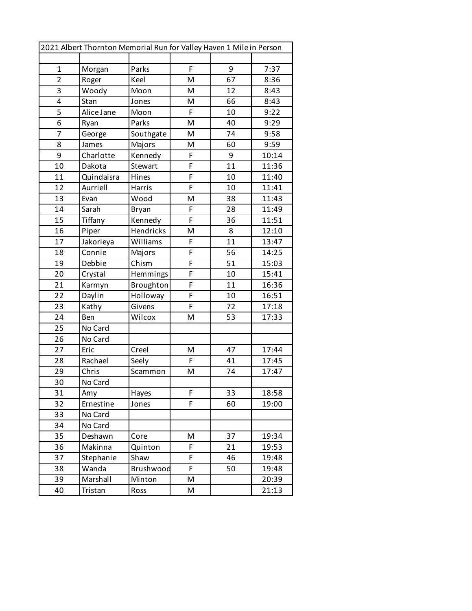|                | 2021 Albert Thornton Memorial Run for Valley Haven 1 Mile in Person |              |   |    |       |
|----------------|---------------------------------------------------------------------|--------------|---|----|-------|
|                |                                                                     |              |   |    |       |
| $\mathbf{1}$   | Morgan                                                              | Parks        | F | 9  | 7:37  |
| $\overline{2}$ | Roger                                                               | Keel         | M | 67 | 8:36  |
| 3              | Woody                                                               | Moon         | M | 12 | 8:43  |
| 4              | Stan                                                                | Jones        | M | 66 | 8:43  |
| 5              | Alice Jane                                                          | Moon         | F | 10 | 9:22  |
| 6              | Ryan                                                                | Parks        | M | 40 | 9:29  |
| 7              | George                                                              | Southgate    | M | 74 | 9:58  |
| 8              | James                                                               | Majors       | M | 60 | 9:59  |
| 9              | Charlotte                                                           | Kennedy      | F | 9  | 10:14 |
| 10             | Dakota                                                              | Stewart      | F | 11 | 11:36 |
| 11             | Quindaisra                                                          | Hines        | F | 10 | 11:40 |
| 12             | Aurriell                                                            | Harris       | F | 10 | 11:41 |
| 13             | Evan                                                                | Wood         | M | 38 | 11:43 |
| 14             | Sarah                                                               | <b>Bryan</b> | F | 28 | 11:49 |
| 15             | Tiffany                                                             | Kennedy      | F | 36 | 11:51 |
| 16             | Piper                                                               | Hendricks    | M | 8  | 12:10 |
| 17             | Jakorieya                                                           | Williams     | F | 11 | 13:47 |
| 18             | Connie                                                              | Majors       | F | 56 | 14:25 |
| 19             | Debbie                                                              | Chism        | F | 51 | 15:03 |
| 20             | Crystal                                                             | Hemmings     | F | 10 | 15:41 |
| 21             | Karmyn                                                              | Broughton    | F | 11 | 16:36 |
| 22             | Daylin                                                              | Holloway     | F | 10 | 16:51 |
| 23             | Kathy                                                               | Givens       | F | 72 | 17:18 |
| 24             | Ben                                                                 | Wilcox       | M | 53 | 17:33 |
| 25             | No Card                                                             |              |   |    |       |
| 26             | No Card                                                             |              |   |    |       |
| 27             | Eric                                                                | Creel        | M | 47 | 17:44 |
| 28             | Rachael                                                             | Seely        | F | 41 | 17:45 |
| 29             | Chris                                                               | Scammon      | M | 74 | 17:47 |
| 30             | No Card                                                             |              |   |    |       |
| 31             | Amy                                                                 | Hayes        | F | 33 | 18:58 |
| 32             | Ernestine                                                           | Jones        | F | 60 | 19:00 |
| 33             | No Card                                                             |              |   |    |       |
| 34             | No Card                                                             |              |   |    |       |
| 35             | Deshawn                                                             | Core         | M | 37 | 19:34 |
| 36             | Makinna                                                             | Quinton      | F | 21 | 19:53 |
| 37             | Stephanie                                                           | Shaw         | F | 46 | 19:48 |
| 38             | Wanda                                                               | Brushwood    | F | 50 | 19:48 |
| 39             | Marshall                                                            | Minton       | M |    | 20:39 |
| 40             | Tristan                                                             | Ross         | M |    | 21:13 |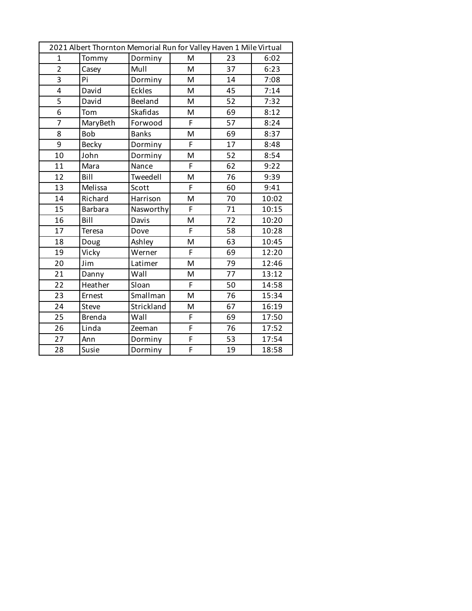| 2021 Albert Thornton Memorial Run for Valley Haven 1 Mile Virtual |                |               |                |    |       |
|-------------------------------------------------------------------|----------------|---------------|----------------|----|-------|
| $\mathbf{1}$                                                      | Tommy          | Dorminy       | M              | 23 | 6:02  |
| $\overline{2}$                                                    | Casey          | Mull          | M              | 37 | 6:23  |
| $\overline{3}$                                                    | Pi             | Dorminy       | M              | 14 | 7:08  |
| 4                                                                 | David          | <b>Eckles</b> | M              | 45 | 7:14  |
| 5                                                                 | David          | Beeland       | M              | 52 | 7:32  |
| 6                                                                 | Tom            | Skafidas      | M              | 69 | 8:12  |
| $\overline{7}$                                                    | MaryBeth       | Forwood       | F              | 57 | 8:24  |
| 8                                                                 | <b>Bob</b>     | <b>Banks</b>  | M              | 69 | 8:37  |
| 9                                                                 | <b>Becky</b>   | Dorminy       | F.             | 17 | 8:48  |
| 10                                                                | John           | Dorminy       | M              | 52 | 8:54  |
| 11                                                                | Mara           | Nance         | F.             | 62 | 9:22  |
| 12                                                                | Bill           | Tweedell      | M              | 76 | 9:39  |
| 13                                                                | Melissa        | Scott         | F              | 60 | 9:41  |
| 14                                                                | Richard        | Harrison      | M              | 70 | 10:02 |
| 15                                                                | <b>Barbara</b> | Nasworthy     | F              | 71 | 10:15 |
| 16                                                                | Bill           | Davis         | M              | 72 | 10:20 |
| 17                                                                | Teresa         | Dove          | F              | 58 | 10:28 |
| 18                                                                | Doug           | Ashley        | M              | 63 | 10:45 |
| 19                                                                | Vicky          | Werner        | F              | 69 | 12:20 |
| 20                                                                | Jim            | Latimer       | M              | 79 | 12:46 |
| 21                                                                | Danny          | Wall          | M              | 77 | 13:12 |
| 22                                                                | Heather        | Sloan         | F              | 50 | 14:58 |
| 23                                                                | Ernest         | Smallman      | M              | 76 | 15:34 |
| 24                                                                | Steve          | Strickland    | M              | 67 | 16:19 |
| 25                                                                | <b>Brenda</b>  | Wall          | F              | 69 | 17:50 |
| 26                                                                | Linda          | Zeeman        | $\overline{F}$ | 76 | 17:52 |
| 27                                                                | Ann            | Dorminy       | $\overline{F}$ | 53 | 17:54 |
| 28                                                                | Susie          | Dorminy       | F              | 19 | 18:58 |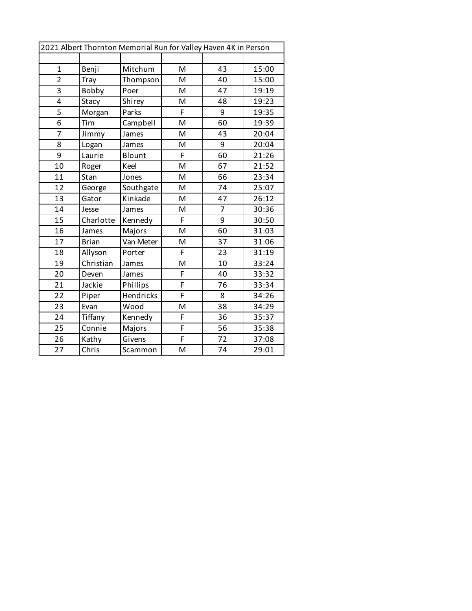| 2021 Albert Thornton Memorial Run for Valley Haven 4K in Person |              |           |                |                |       |
|-----------------------------------------------------------------|--------------|-----------|----------------|----------------|-------|
|                                                                 |              |           |                |                |       |
| $\mathbf{1}$                                                    | Benji        | Mitchum   | M              | 43             | 15:00 |
| $\overline{2}$                                                  | <b>Tray</b>  | Thompson  | M              | 40             | 15:00 |
| 3                                                               | Bobby        | Poer      | M              | 47             | 19:19 |
| 4                                                               | Stacy        | Shirey    | M              | 48             | 19:23 |
| 5                                                               | Morgan       | Parks     | F              | 9              | 19:35 |
| 6                                                               | Tim          | Campbell  | M              | 60             | 19:39 |
| $\overline{7}$                                                  | Jimmy        | James     | M              | 43             | 20:04 |
| 8                                                               | Logan        | James     | M              | 9              | 20:04 |
| 9                                                               | Laurie       | Blount    | F              | 60             | 21:26 |
| 10                                                              | Roger        | Keel      | M              | 67             | 21:52 |
| 11                                                              | Stan         | Jones     | M              | 66             | 23:34 |
| 12                                                              | George       | Southgate | M              | 74             | 25:07 |
| 13                                                              | Gator        | Kinkade   | M              | 47             | 26:12 |
| 14                                                              | Jesse        | James     | M              | $\overline{7}$ | 30:36 |
| 15                                                              | Charlotte    | Kennedy   | F              | 9              | 30:50 |
| 16                                                              | James        | Majors    | M              | 60             | 31:03 |
| 17                                                              | <b>Brian</b> | Van Meter | M              | 37             | 31:06 |
| 18                                                              | Allyson      | Porter    | F              | 23             | 31:19 |
| 19                                                              | Christian    | James     | M              | 10             | 33:24 |
| 20                                                              | Deven        | James     | F              | 40             | 33:32 |
| 21                                                              | Jackie       | Phillips  | $\overline{F}$ | 76             | 33:34 |
| 22                                                              | Piper        | Hendricks | F              | 8              | 34:26 |
| 23                                                              | Evan         | Wood      | M              | 38             | 34:29 |
| 24                                                              | Tiffany      | Kennedy   | F              | 36             | 35:37 |
| 25                                                              | Connie       | Majors    | F              | 56             | 35:38 |
| 26                                                              | Kathy        | Givens    | F              | 72             | 37:08 |
| 27                                                              | Chris        | Scammon   | M              | 74             | 29:01 |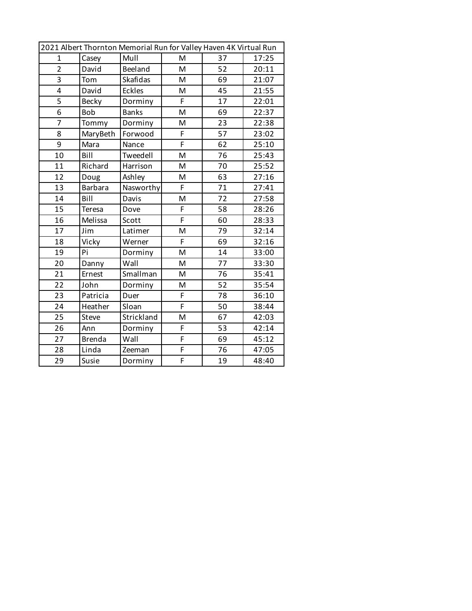| 2021 Albert Thornton Memorial Run for Valley Haven 4K Virtual Run |                |               |                |    |       |
|-------------------------------------------------------------------|----------------|---------------|----------------|----|-------|
| $\mathbf{1}$                                                      | Casey          | Mull          | M              | 37 | 17:25 |
| $\overline{2}$                                                    | David          | Beeland       | M              | 52 | 20:11 |
| $\overline{3}$                                                    | Tom            | Skafidas      | M              | 69 | 21:07 |
| 4                                                                 | David          | <b>Eckles</b> | M              | 45 | 21:55 |
| 5                                                                 | <b>Becky</b>   | Dorminy       | F              | 17 | 22:01 |
| 6                                                                 | <b>Bob</b>     | <b>Banks</b>  | M              | 69 | 22:37 |
| $\overline{7}$                                                    | Tommy          | Dorminy       | M              | 23 | 22:38 |
| 8                                                                 | MaryBeth       | Forwood       | F              | 57 | 23:02 |
| 9                                                                 | Mara           | Nance         | F              | 62 | 25:10 |
| 10                                                                | Bill           | Tweedell      | M              | 76 | 25:43 |
| 11                                                                | Richard        | Harrison      | M              | 70 | 25:52 |
| 12                                                                | Doug           | Ashley        | M              | 63 | 27:16 |
| 13                                                                | <b>Barbara</b> | Nasworthy     | $\overline{F}$ | 71 | 27:41 |
| 14                                                                | Bill           | Davis         | M              | 72 | 27:58 |
| 15                                                                | <b>Teresa</b>  | Dove          | F              | 58 | 28:26 |
| 16                                                                | Melissa        | Scott         | F              | 60 | 28:33 |
| 17                                                                | Jim            | Latimer       | M              | 79 | 32:14 |
| 18                                                                | Vicky          | Werner        | F              | 69 | 32:16 |
| 19                                                                | Pi             | Dorminy       | M              | 14 | 33:00 |
| 20                                                                | Danny          | Wall          | M              | 77 | 33:30 |
| 21                                                                | Ernest         | Smallman      | M              | 76 | 35:41 |
| 22                                                                | John           | Dorminy       | M              | 52 | 35:54 |
| 23                                                                | Patricia       | Duer          | F              | 78 | 36:10 |
| 24                                                                | Heather        | Sloan         | F              | 50 | 38:44 |
| 25                                                                | Steve          | Strickland    | M              | 67 | 42:03 |
| 26                                                                | Ann            | Dorminy       | F              | 53 | 42:14 |
| 27                                                                | <b>Brenda</b>  | Wall          | F              | 69 | 45:12 |
| 28                                                                | Linda          | Zeeman        | F              | 76 | 47:05 |
| 29                                                                | Susie          | Dorminy       | F              | 19 | 48:40 |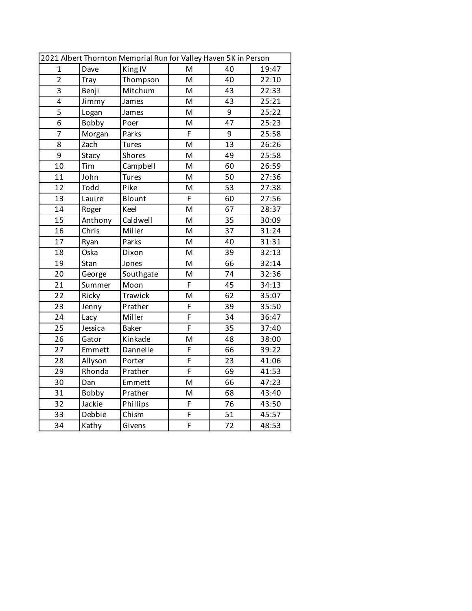| 2021 Albert Thornton Memorial Run for Valley Haven 5K in Person |         |                |                |    |       |
|-----------------------------------------------------------------|---------|----------------|----------------|----|-------|
| $\mathbf{1}$                                                    | Dave    | King IV        | M              | 40 | 19:47 |
| $\overline{2}$                                                  | Tray    | Thompson       | M              | 40 | 22:10 |
| 3                                                               | Benji   | Mitchum        | M              | 43 | 22:33 |
| 4                                                               | Jimmy   | James          | M              | 43 | 25:21 |
| $\overline{5}$                                                  | Logan   | James          | M              | 9  | 25:22 |
| $\overline{6}$                                                  | Bobby   | Poer           | M              | 47 | 25:23 |
| $\overline{7}$                                                  | Morgan  | Parks          | F              | 9  | 25:58 |
| 8                                                               | Zach    | <b>Tures</b>   | M              | 13 | 26:26 |
| 9                                                               | Stacy   | <b>Shores</b>  | M              | 49 | 25:58 |
| 10                                                              | Tim     | Campbell       | M              | 60 | 26:59 |
| 11                                                              | John    | <b>Tures</b>   | M              | 50 | 27:36 |
| 12                                                              | Todd    | Pike           | M              | 53 | 27:38 |
| 13                                                              | Lauire  | Blount         | F              | 60 | 27:56 |
| 14                                                              | Roger   | Keel           | M              | 67 | 28:37 |
| 15                                                              | Anthony | Caldwell       | M              | 35 | 30:09 |
| 16                                                              | Chris   | Miller         | M              | 37 | 31:24 |
| 17                                                              | Ryan    | Parks          | M              | 40 | 31:31 |
| 18                                                              | Oska    | Dixon          | M              | 39 | 32:13 |
| 19                                                              | Stan    | Jones          | M              | 66 | 32:14 |
| 20                                                              | George  | Southgate      | M              | 74 | 32:36 |
| 21                                                              | Summer  | Moon           | F              | 45 | 34:13 |
| 22                                                              | Ricky   | <b>Trawick</b> | M              | 62 | 35:07 |
| 23                                                              | Jenny   | Prather        | F              | 39 | 35:50 |
| 24                                                              | Lacy    | Miller         | F              | 34 | 36:47 |
| 25                                                              | Jessica | <b>Baker</b>   | F              | 35 | 37:40 |
| 26                                                              | Gator   | Kinkade        | M              | 48 | 38:00 |
| 27                                                              | Emmett  | Dannelle       | F              | 66 | 39:22 |
| 28                                                              | Allyson | Porter         | F              | 23 | 41:06 |
| 29                                                              | Rhonda  | Prather        | $\overline{F}$ | 69 | 41:53 |
| 30                                                              | Dan     | Emmett         | M              | 66 | 47:23 |
| 31                                                              | Bobby   | Prather        | M              | 68 | 43:40 |
| 32                                                              | Jackie  | Phillips       | $\overline{F}$ | 76 | 43:50 |
| 33                                                              | Debbie  | Chism          | F              | 51 | 45:57 |
| 34                                                              | Kathy   | Givens         | F              | 72 | 48:53 |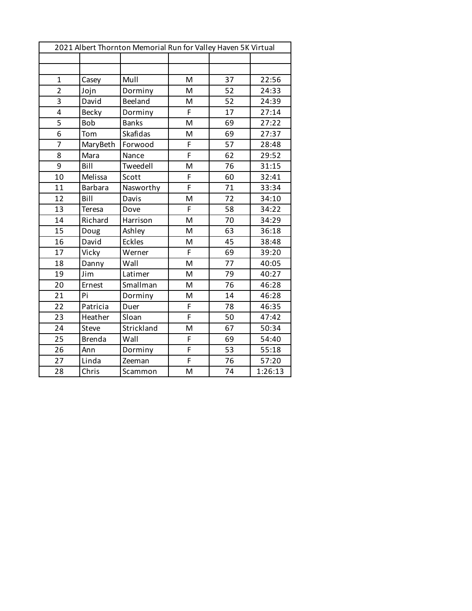| 2021 Albert Thornton Memorial Run for Valley Haven 5K Virtual |                |                 |                |    |         |  |
|---------------------------------------------------------------|----------------|-----------------|----------------|----|---------|--|
|                                                               |                |                 |                |    |         |  |
|                                                               |                |                 |                |    |         |  |
| $\mathbf{1}$                                                  | Casey          | Mull            | M              | 37 | 22:56   |  |
| $\overline{2}$                                                | Jojn           | Dorminy         | M              | 52 | 24:33   |  |
| 3                                                             | David          | Beeland         | M              | 52 | 24:39   |  |
| 4                                                             | <b>Becky</b>   | Dorminy         | F              | 17 | 27:14   |  |
| 5                                                             | <b>Bob</b>     | <b>Banks</b>    | M              | 69 | 27:22   |  |
| 6                                                             | Tom            | <b>Skafidas</b> | M              | 69 | 27:37   |  |
| $\overline{7}$                                                | MaryBeth       | Forwood         | F              | 57 | 28:48   |  |
| 8                                                             | Mara           | Nance           | F              | 62 | 29:52   |  |
| 9                                                             | Bill           | Tweedell        | M              | 76 | 31:15   |  |
| 10                                                            | Melissa        | Scott           | F              | 60 | 32:41   |  |
| 11                                                            | <b>Barbara</b> | Nasworthy       | F              | 71 | 33:34   |  |
| 12                                                            | Bill           | Davis           | M              | 72 | 34:10   |  |
| 13                                                            | Teresa         | Dove            | F              | 58 | 34:22   |  |
| 14                                                            | Richard        | Harrison        | M              | 70 | 34:29   |  |
| 15                                                            | Doug           | Ashley          | M              | 63 | 36:18   |  |
| 16                                                            | David          | <b>Eckles</b>   | M              | 45 | 38:48   |  |
| 17                                                            | Vicky          | Werner          | F              | 69 | 39:20   |  |
| 18                                                            | Danny          | Wall            | M              | 77 | 40:05   |  |
| 19                                                            | Jim            | Latimer         | M              | 79 | 40:27   |  |
| 20                                                            | Ernest         | Smallman        | M              | 76 | 46:28   |  |
| 21                                                            | Pi             | Dorminy         | M              | 14 | 46:28   |  |
| 22                                                            | Patricia       | Duer            | F              | 78 | 46:35   |  |
| 23                                                            | Heather        | Sloan           | F              | 50 | 47:42   |  |
| 24                                                            | Steve          | Strickland      | M              | 67 | 50:34   |  |
| 25                                                            | <b>Brenda</b>  | Wall            | F              | 69 | 54:40   |  |
| 26                                                            | Ann            | Dorminy         | F              | 53 | 55:18   |  |
| 27                                                            | Linda          | Zeeman          | $\overline{F}$ | 76 | 57:20   |  |
| 28                                                            | Chris          | Scammon         | M              | 74 | 1:26:13 |  |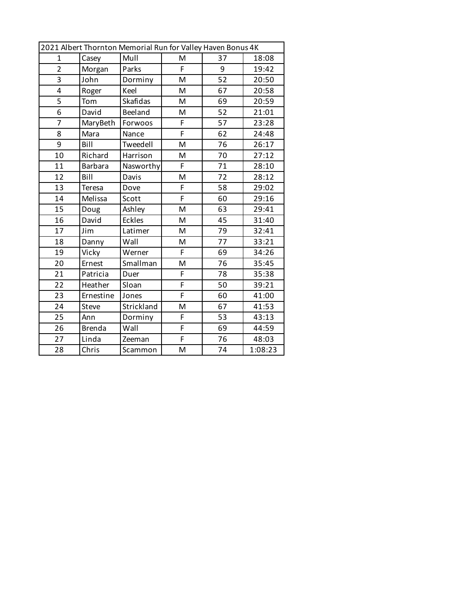| 2021 Albert Thornton Memorial Run for Valley Haven Bonus 4K |                |                 |   |    |         |
|-------------------------------------------------------------|----------------|-----------------|---|----|---------|
| $\mathbf{1}$                                                | Casey          | Mull            | M | 37 | 18:08   |
| $\overline{2}$                                              | Morgan         | Parks           | F | 9  | 19:42   |
| $\overline{3}$                                              | John           | Dorminy         | M | 52 | 20:50   |
| 4                                                           | Roger          | Keel            | M | 67 | 20:58   |
| $\overline{5}$                                              | Tom            | <b>Skafidas</b> | M | 69 | 20:59   |
| 6                                                           | David          | Beeland         | M | 52 | 21:01   |
| $\overline{7}$                                              | MaryBeth       | Forwoos         | F | 57 | 23:28   |
| 8                                                           | Mara           | Nance           | F | 62 | 24:48   |
| 9                                                           | Bill           | Tweedell        | M | 76 | 26:17   |
| 10                                                          | Richard        | Harrison        | M | 70 | 27:12   |
| 11                                                          | <b>Barbara</b> | Nasworthy       | F | 71 | 28:10   |
| 12                                                          | Bill           | Davis           | M | 72 | 28:12   |
| 13                                                          | <b>Teresa</b>  | Dove            | F | 58 | 29:02   |
| 14                                                          | Melissa        | Scott           | F | 60 | 29:16   |
| 15                                                          | Doug           | Ashley          | M | 63 | 29:41   |
| 16                                                          | David          | <b>Eckles</b>   | M | 45 | 31:40   |
| 17                                                          | Jim            | Latimer         | M | 79 | 32:41   |
| 18                                                          | Danny          | Wall            | M | 77 | 33:21   |
| 19                                                          | Vicky          | Werner          | F | 69 | 34:26   |
| 20                                                          | Ernest         | Smallman        | M | 76 | 35:45   |
| 21                                                          | Patricia       | Duer            | F | 78 | 35:38   |
| 22                                                          | Heather        | Sloan           | F | 50 | 39:21   |
| 23                                                          | Ernestine      | Jones           | F | 60 | 41:00   |
| 24                                                          | Steve          | Strickland      | M | 67 | 41:53   |
| 25                                                          | Ann            | Dorminy         | F | 53 | 43:13   |
| 26                                                          | <b>Brenda</b>  | Wall            | F | 69 | 44:59   |
| 27                                                          | Linda          | Zeeman          | F | 76 | 48:03   |
| 28                                                          | Chris          | Scammon         | M | 74 | 1:08:23 |